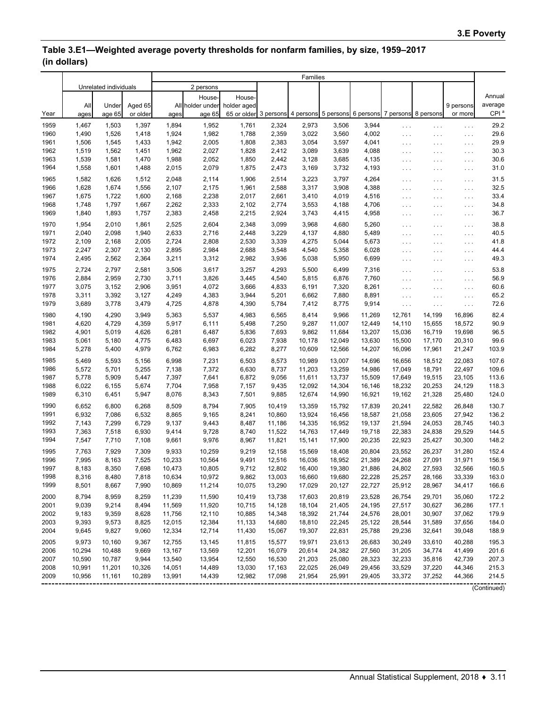## **Table 3.E1—Weighted average poverty thresholds for nonfarm families, by size, 1959–2017 (in dollars)**

|              |                       |                  |                 | Families         |                  |                                                                         |                  |                  |                  |                                       |                                              |                                  |                                              |                  |
|--------------|-----------------------|------------------|-----------------|------------------|------------------|-------------------------------------------------------------------------|------------------|------------------|------------------|---------------------------------------|----------------------------------------------|----------------------------------|----------------------------------------------|------------------|
|              | Unrelated individuals |                  | 2 persons       |                  |                  |                                                                         |                  |                  |                  |                                       |                                              |                                  |                                              |                  |
|              |                       |                  |                 |                  | House-           | House-                                                                  |                  |                  |                  |                                       |                                              |                                  |                                              | Annual           |
|              | All                   | Under            | Aged 65         |                  | All holder under | holder aged                                                             |                  |                  |                  |                                       |                                              |                                  | 9 persons                                    | average          |
| Year         | ages                  | age 65           | or older        | ages             | age 65           | 65 or older 3 persons 4 persons 5 persons 6 persons 7 persons 8 persons |                  |                  |                  |                                       |                                              |                                  | or more                                      | CPI <sup>a</sup> |
| 1959         | 1,467                 | 1,503            | 1,397           | 1,894            | 1,952            | 1,761                                                                   | 2,324            | 2,973            | 3,506            | 3,944                                 |                                              |                                  |                                              | 29.2             |
| 1960         | 1,490                 | 1,526            | 1,418           | 1,924            | 1,982            | 1,788                                                                   | 2,359            | 3,022            | 3,560            | 4,002                                 | $\sim$ $\sim$ $\sim$<br>$\ldots$             | $\ldots$ .                       | $\sim$ $\sim$ $\sim$                         | 29.6             |
| 1961         | 1,506                 | 1,545            | 1,433           | 1,942            | 2,005            | 1,808                                                                   | 2,383            | 3,054            | 3,597            | 4,041                                 | $\sim$ $\sim$ $\sim$                         | $\sim$ $\sim$ $\sim$<br>$\cdots$ | $\sim$ $\sim$ $\sim$<br>$\sim$ $\sim$ $\sim$ | 29.9             |
| 1962         | 1,519                 | 1,562            | 1,451           | 1,962            | 2,027            | 1,828                                                                   | 2,412            | 3,089            | 3,639            | 4,088                                 | $\sim$ $\sim$ $\sim$                         | $\ldots$ .                       | $\sim$ $\sim$ $\sim$                         | 30.3             |
| 1963         | 1,539                 | 1,581            | 1,470           | 1,988            | 2,052            | 1,850                                                                   | 2,442            | 3,128            | 3,685            | 4,135                                 | $\sim$ $\sim$ $\sim$                         | $\sim$ $\sim$ $\sim$             | $\cdots$                                     | 30.6             |
| 1964         | 1,558                 | 1,601            | 1,488           | 2,015            | 2,079            | 1,875                                                                   | 2,473            | 3,169            | 3,732            | 4,193                                 | $\sim$ $\sim$ $\sim$                         | $\cdots$                         | $\cdots$                                     | 31.0             |
| 1965         | 1,582                 |                  | 1,512           | 2,048            | 2,114            | 1,906                                                                   | 2,514            |                  | 3,797            | 4,264                                 |                                              |                                  |                                              | 31.5             |
| 1966         | 1,628                 | 1,626<br>1,674   | 1,556           | 2,107            | 2,175            | 1,961                                                                   | 2,588            | 3,223<br>3,317   | 3,908            | 4,388                                 | $\ldots$                                     | $\ldots$ .                       | $\sim$ $\sim$ $\sim$                         | 32.5             |
| 1967         | 1,675                 | 1,722            | 1,600           | 2,168            | 2,238            | 2,017                                                                   | 2,661            | 3,410            | 4,019            | 4,516                                 | $\sim$ $\sim$ $\sim$                         | $\cdots$                         | $\cdots$                                     | 33.4             |
| 1968         | 1,748                 | 1,797            | 1,667           | 2,262            | 2,333            | 2,102                                                                   | 2,774            | 3,553            | 4,188            | 4,706                                 | $\sim$ $\sim$ $\sim$                         | $\ldots$                         | $\sim$ $\sim$ $\sim$                         | 34.8             |
| 1969         | 1,840                 | 1,893            | 1,757           | 2,383            | 2,458            | 2,215                                                                   | 2,924            | 3,743            | 4,415            | 4,958                                 | $\sim$ $\sim$ $\sim$<br>$\sim$ $\sim$ $\sim$ | $\ldots$ .<br>$\cdots$           | $\sim$ $\sim$ $\sim$<br>$\cdots$             | 36.7             |
|              |                       |                  |                 |                  |                  |                                                                         |                  |                  |                  |                                       |                                              |                                  |                                              |                  |
| 1970         | 1,954                 | 2,010            | 1,861           | 2,525            | 2,604            | 2,348                                                                   | 3,099            | 3,968            | 4,680            | 5,260                                 | $\ldots$                                     | $\sim$ $\sim$ $\sim$             | $\cdots$                                     | 38.8             |
| 1971         | 2,040                 | 2,098            | 1,940           | 2,633            | 2,716            | 2,448                                                                   | 3,229            | 4,137            | 4,880            | 5,489                                 | $\sim$ $\sim$ $\sim$                         | $\ldots$ .                       | $\cdots$                                     | 40.5             |
| 1972         | 2,109                 | 2,168            | 2,005           | 2,724            | 2,808            | 2,530                                                                   | 3,339            | 4,275            | 5,044            | 5,673                                 | $\ldots$                                     | $\cdots$                         | $\cdots$                                     | 41.8             |
| 1973         | 2,247                 | 2,307            | 2,130           | 2,895            | 2,984            | 2,688                                                                   | 3,548            | 4,540            | 5,358            | 6,028                                 | $\sim$ $\sim$ $\sim$                         | $\ldots$ .                       | $\sim$ $\sim$ $\sim$                         | 44.4             |
| 1974         | 2,495                 | 2,562            | 2,364           | 3,211            | 3,312            | 2,982                                                                   | 3,936            | 5,038            | 5,950            | 6,699                                 | $\ldots$                                     | $\cdots$                         | $\cdots$                                     | 49.3             |
| 1975         | 2,724                 | 2,797            | 2,581           | 3,506            | 3,617            | 3,257                                                                   | 4,293            | 5,500            | 6,499            | 7,316                                 | $\ldots$                                     | $\ldots$ .                       | $\sim$ $\sim$ $\sim$                         | 53.8             |
| 1976         | 2,884                 | 2,959            | 2,730           | 3,711            | 3,826            | 3,445                                                                   | 4,540            | 5,815            | 6,876            | 7,760                                 | $\sim$ $\sim$ $\sim$                         | $\ldots$ .                       | $\cdots$                                     | 56.9             |
| 1977         | 3,075                 | 3,152            | 2,906           | 3,951            | 4,072            | 3,666                                                                   | 4,833            | 6,191            | 7,320            | 8,261                                 | $\sim$ $\sim$ $\sim$                         | $\cdots$                         | $\cdots$                                     | 60.6             |
| 1978         | 3,311                 | 3,392            | 3,127           | 4,249            | 4,383            | 3,944                                                                   | 5,201            | 6,662            | 7,880            | 8,891                                 | $\sim$ $\sim$ $\sim$                         | $\ldots$ .                       | $\cdots$                                     | 65.2             |
| 1979         | 3,689                 | 3,778            | 3,479           | 4,725            | 4,878            | 4,390                                                                   | 5,784            | 7,412            | 8,775            | 9,914                                 | $\ldots$                                     | $\sim$ $\sim$ $\sim$             | $\ldots$                                     | 72.6             |
| 1980         | 4,190                 | 4,290            | 3,949           | 5,363            | 5,537            | 4,983                                                                   | 6,565            | 8,414            | 9,966            | 11,269                                | 12.761                                       | 14,199                           | 16,896                                       | 82.4             |
| 1981         | 4,620                 | 4,729            | 4,359           | 5,917            | 6,111            | 5,498                                                                   | 7,250            | 9,287            | 11,007           | 12,449                                | 14,110                                       | 15,655                           | 18,572                                       | 90.9             |
| 1982         | 4,901                 | 5,019            | 4,626           | 6,281            | 6,487            | 5,836                                                                   | 7,693            | 9,862            | 11,684           | 13,207                                | 15,036                                       | 16,719                           | 19,698                                       | 96.5             |
| 1983         | 5,061                 | 5,180            | 4,775           | 6,483            | 6,697            | 6,023                                                                   | 7,938            | 10,178           | 12,049           | 13,630                                | 15,500                                       | 17,170                           | 20,310                                       | 99.6             |
| 1984         | 5,278                 | 5,400            | 4,979           | 6,762            | 6,983            | 6,282                                                                   | 8,277            | 10,609           | 12,566           | 14,207                                | 16,096                                       | 17,961                           | 21,247                                       | 103.9            |
| 1985         | 5,469                 | 5,593            | 5,156           | 6,998            | 7,231            | 6,503                                                                   | 8,573            | 10,989           | 13,007           | 14,696                                | 16,656                                       | 18,512                           | 22,083                                       | 107.6            |
| 1986         | 5,572                 | 5,701            | 5,255           | 7,138            | 7,372            | 6,630                                                                   | 8,737            | 11,203           | 13,259           | 14,986                                | 17,049                                       | 18,791                           | 22,497                                       | 109.6            |
| 1987         | 5,778                 | 5,909            | 5,447           | 7,397            | 7,641            | 6,872                                                                   | 9,056            | 11,611           | 13,737           | 15,509                                | 17,649                                       | 19,515                           | 23,105                                       | 113.6            |
| 1988         | 6,022                 | 6,155            | 5,674           | 7,704            | 7,958            | 7,157                                                                   | 9,435            | 12,092           | 14,304           | 16,146                                | 18,232                                       | 20,253                           | 24,129                                       | 118.3            |
| 1989         | 6,310                 | 6,451            | 5,947           | 8,076            | 8,343            | 7,501                                                                   | 9,885            | 12,674           | 14,990           | 16,921                                | 19,162                                       | 21,328                           | 25,480                                       | 124.0            |
| 1990         | 6,652                 | 6,800            | 6,268           | 8,509            | 8,794            | 7,905                                                                   | 10,419           | 13,359           | 15,792           | 17,839                                | 20,241                                       | 22,582                           | 26,848                                       | 130.7            |
| 1991         | 6,932                 | 7,086            | 6,532           | 8,865            | 9,165            | 8,241                                                                   | 10,860           | 13,924           | 16,456           | 18,587                                | 21,058                                       | 23,605                           | 27,942                                       | 136.2            |
| 1992         | 7,143                 | 7,299            | 6,729           | 9,137            | 9,443            | 8,487                                                                   | 11,186           | 14,335           | 16,952           | 19,137                                | 21,594                                       | 24,053                           | 28,745                                       | 140.3            |
| 1993         | 7,363                 | 7,518            | 6,930           | 9,414            | 9,728            | 8,740                                                                   | 11,522           | 14,763           | 17,449           | 19,718                                | 22,383                                       | 24,838                           | 29,529                                       | 144.5            |
| 1994         | 7,547                 | 7,710            | 7,108           | 9,661            | 9,976            | 8,967                                                                   | 11,821           | 15,141           | 17,900           | 20,235                                | 22,923                                       | 25,427                           | 30,300                                       | 148.2            |
| 1995         | 7,763                 | 7,929            | 7,309           | 9,933            | 10,259           | 9,219                                                                   | 12,158           | 15,569           | 18,408           | 20,804                                | 23,552                                       | 26,237                           | 31,280                                       | 152.4            |
| 1996         | 7,995                 | 8,163            | 7,525           | 10,233           | 10,564           | 9,491                                                                   | 12,516           | 16,036           | 18,952           | 21,389                                | 24,268                                       | 27,091                           | 31,971                                       | 156.9            |
| 1997         | 8,183                 | 8,350            | 7,698           | 10,473           | 10,805           | 9,712                                                                   | 12,802           | 16,400           | 19,380           | 21,886                                | 24,802                                       | 27,593                           | 32,566                                       | 160.5            |
| 1998         | 8,316                 | 8,480            | 7,818           | 10,634           | 10,972           | 9,862                                                                   | 13,003           | 16,660           | 19,680           | 22,228                                | 25,257                                       | 28,166                           | 33,339                                       | 163.0            |
| 1999         | 8,501                 | 8,667            | 7,990           | 10,869           | 11,214           | 10,075                                                                  | 13,290           | 17,029           | 20,127           | 22,727                                | 25,912                                       | 28,967                           | 34,417                                       | 166.6            |
| 2000         | 8,794                 | 8,959            | 8,259           | 11,239           | 11,590           | 10,419                                                                  | 13,738           | 17,603           | 20,819           | 23,528                                | 26,754                                       | 29,701                           | 35,060                                       | 172.2            |
| 2001         | 9,039                 | 9,214            | 8,494           | 11,569           | 11,920           | 10,715                                                                  | 14,128           | 18,104           | 21,405           | 24,195                                | 27,517                                       | 30,627                           | 36,286                                       | 177.1            |
| 2002         | 9,183                 | 9,359            | 8,628           | 11,756           | 12,110           | 10,885                                                                  | 14,348           | 18,392           | 21,744           | 24,576                                | 28,001                                       | 30,907                           | 37,062                                       | 179.9            |
| 2003         | 9,393                 | 9,573            | 8,825           | 12,015           | 12,384           | 11,133                                                                  | 14,680           | 18,810           | 22,245           | 25,122                                | 28,544                                       | 31,589                           | 37,656                                       | 184.0            |
| 2004         | 9,645                 | 9,827            | 9,060           | 12,334           | 12,714           | 11,430                                                                  | 15,067           | 19,307           | 22,831           | 25,788                                | 29,236                                       | 32,641                           | 39,048                                       | 188.9            |
|              |                       |                  |                 |                  |                  |                                                                         |                  |                  |                  |                                       |                                              |                                  |                                              |                  |
| 2005         | 9,973                 | 10,160           | 9,367           | 12,755           | 13,145           | 11,815                                                                  | 15,577           | 19,971           | 23,613           | 26,683                                | 30,249                                       | 33,610                           | 40,288                                       | 195.3            |
| 2006         | 10,294                | 10,488           | 9,669           | 13,167<br>13,540 | 13,569           | 12,201                                                                  | 16,079           | 20,614           | 24,382           | 27,560                                | 31,205                                       | 34,774                           | 41,499                                       | 201.6            |
| 2007<br>2008 | 10,590<br>10,991      | 10,787<br>11,201 | 9,944<br>10,326 | 14,051           | 13,954<br>14,489 | 12,550<br>13,030                                                        | 16,530<br>17,163 | 21,203<br>22,025 | 25,080<br>26,049 | 28,323<br>29,456                      | 32,233<br>33,529                             | 35,816<br>37,220                 | 42,739<br>44,346                             | 207.3<br>215.3   |
| 2009         | 10,956                | 11,161           | 10,289          | 13,991           | 14,439           | 12,982                                                                  | 17,098           | 21,954           | 25,991           | 29,405                                | 33,372                                       | 37,252                           | 44,366                                       | 214.5            |
|              |                       |                  |                 | ---------        |                  |                                                                         |                  |                  |                  | ------------------------------------- |                                              |                                  |                                              |                  |

(Continued)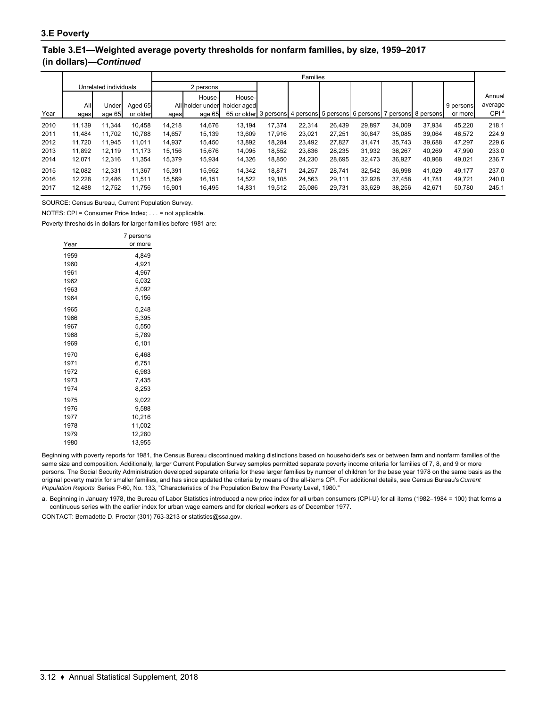## **Table 3.E1—Weighted average poverty thresholds for nonfarm families, by size, 1959–2017 (in dollars)—***Continued*

|      |                       |        |          |           | Families         |                                                                         |        |        |        |        |        |        |           |                  |
|------|-----------------------|--------|----------|-----------|------------------|-------------------------------------------------------------------------|--------|--------|--------|--------|--------|--------|-----------|------------------|
|      | Unrelated individuals |        |          | 2 persons |                  |                                                                         |        |        |        |        |        |        |           |                  |
|      |                       |        |          |           | House-           | House-                                                                  |        |        |        |        |        |        |           | Annual           |
|      | All                   | Under  | Aged 65  |           | All holder under | holder aged                                                             |        |        |        |        |        |        | 9 persons | average          |
| Year | ages                  | age 65 | or older | ages      | age 65           | 65 or older 3 persons 4 persons 5 persons 6 persons 7 persons 8 persons |        |        |        |        |        |        | or more   | CPI <sup>a</sup> |
| 2010 | 11.139                | 11.344 | 10.458   | 14.218    | 14,676           | 13.194                                                                  | 17.374 | 22.314 | 26.439 | 29.897 | 34.009 | 37.934 | 45,220    | 218.1            |
| 2011 | 11,484                | 11.702 | 10.788   | 14,657    | 15,139           | 13,609                                                                  | 17.916 | 23,021 | 27,251 | 30,847 | 35,085 | 39,064 | 46.572    | 224.9            |
| 2012 | 11.720                | 11.945 | 11.011   | 14.937    | 15,450           | 13,892                                                                  | 18.284 | 23,492 | 27.827 | 31.471 | 35.743 | 39,688 | 47.297    | 229.6            |
| 2013 | 11.892                | 12.119 | 11.173   | 15.156    | 15,676           | 14,095                                                                  | 18.552 | 23,836 | 28.235 | 31,932 | 36.267 | 40,269 | 47.990    | 233.0            |
| 2014 | 12,071                | 12.316 | 11,354   | 15,379    | 15,934           | 14,326                                                                  | 18,850 | 24,230 | 28,695 | 32,473 | 36,927 | 40,968 | 49,021    | 236.7            |
| 2015 | 12.082                | 12.331 | 11.367   | 15.391    | 15,952           | 14,342                                                                  | 18.871 | 24.257 | 28.741 | 32,542 | 36.998 | 41.029 | 49.177    | 237.0            |
| 2016 | 12.228                | 12.486 | 11.511   | 15.569    | 16.151           | 14,522                                                                  | 19.105 | 24,563 | 29.111 | 32,928 | 37.458 | 41.781 | 49.721    | 240.0            |
| 2017 | 12.488                | 12,752 | 11,756   | 15,901    | 16,495           | 14,831                                                                  | 19,512 | 25,086 | 29,731 | 33,629 | 38,256 | 42,671 | 50,780    | 245.1            |

SOURCE: Census Bureau, Current Population Survey.

NOTES: CPI = Consumer Price Index; . . . = not applicable.

Poverty thresholds in dollars for larger families before 1981 are:

|      | 7 persons |
|------|-----------|
| Year | or more   |
| 1959 | 4.849     |
| 1960 | 4,921     |
| 1961 | 4,967     |
| 1962 | 5,032     |
| 1963 | 5,092     |
| 1964 | 5,156     |
| 1965 | 5.248     |
| 1966 | 5,395     |
| 1967 | 5,550     |
| 1968 | 5,789     |
| 1969 | 6,101     |
| 1970 | 6,468     |
| 1971 | 6,751     |
| 1972 | 6,983     |
| 1973 | 7,435     |
| 1974 | 8,253     |
| 1975 | 9,022     |
| 1976 | 9,588     |
| 1977 | 10,216    |
| 1978 | 11.002    |
| 1979 | 12,280    |
| 1980 | 13.955    |

Beginning with poverty reports for 1981, the Census Bureau discontinued making distinctions based on householder's sex or between farm and nonfarm families of the same size and composition. Additionally, larger Current Population Survey samples permitted separate poverty income criteria for families of 7, 8, and 9 or more persons. The Social Security Administration developed separate criteria for these larger families by number of children for the base year 1978 on the same basis as the original poverty matrix for smaller families, and has since updated the criteria by means of the all-items CPI. For additional details, see Census Bureau's *Current Population Reports* Series P-60, No. 133, "Characteristics of the Population Below the Poverty Level, 1980."

a. Beginning in January 1978, the Bureau of Labor Statistics introduced a new price index for all urban consumers (CPI-U) for all items (1982–1984 = 100) that forms a continuous series with the earlier index for urban wage earners and for clerical workers as of December 1977.

CONTACT: Bernadette D. Proctor (301) 763-3213 or statistics@ssa.gov.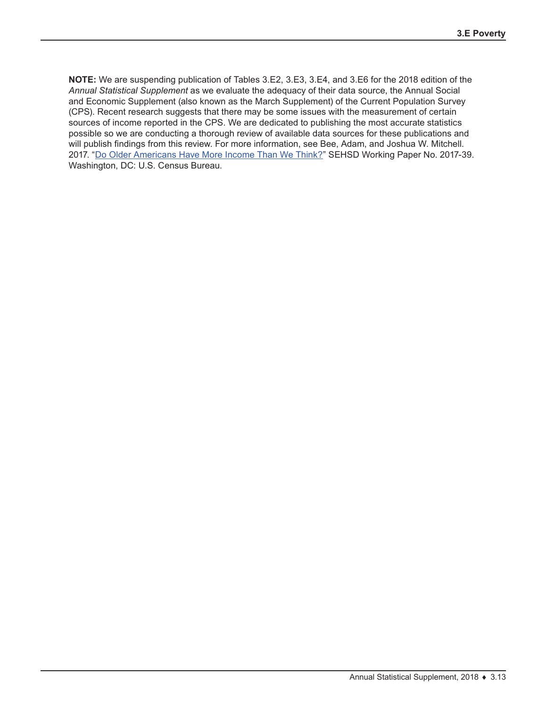**NOTE:** We are suspending publication of Tables 3.E2, 3.E3, 3.E4, and 3.E6 for the 2018 edition of the *Annual Statistical Supplement* as we evaluate the adequacy of their data source, the Annual Social and Economic Supplement (also known as the March Supplement) of the Current Population Survey (CPS). Recent research suggests that there may be some issues with the measurement of certain sources of income reported in the CPS. We are dedicated to publishing the most accurate statistics possible so we are conducting a thorough review of available data sources for these publications and will publish findings from this review. For more information, see Bee, Adam, and Joshua W. Mitchell. 2017. ["Do Older Americans Have More Income Than We Think?"](https://www.census.gov/content/dam/Census/library/working-papers/2017/demo/SEHSD-WP2017-39.pdf) SEHSD Working Paper No. 2017-39. Washington, DC: U.S. Census Bureau.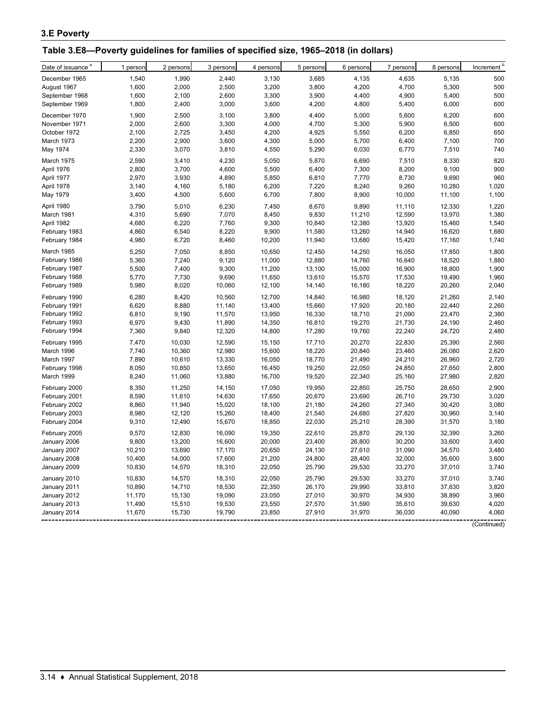## **Table 3.E8—Poverty guidelines for families of specified size, 1965–2018 (in dollars)**

| Date of issuance <sup>a</sup> | 1 person | 2 persons | 3 persons | 4 persons | 5 persons | 6 persons | 7 persons | 8 persons | Increment <sup>b</sup> |
|-------------------------------|----------|-----------|-----------|-----------|-----------|-----------|-----------|-----------|------------------------|
| December 1965                 | 1,540    | 1,990     | 2,440     | 3,130     | 3,685     | 4,135     | 4,635     | 5,135     | 500                    |
| August 1967                   | 1,600    | 2,000     | 2,500     | 3,200     | 3,800     | 4,200     | 4,700     | 5,300     | 500                    |
| September 1968                | 1,600    | 2,100     | 2,600     | 3,300     | 3,900     | 4,400     | 4,900     | 5,400     | 500                    |
| September 1969                | 1,800    | 2,400     | 3,000     | 3,600     | 4,200     | 4,800     | 5,400     | 6,000     | 600                    |
|                               |          |           |           |           |           |           |           |           |                        |
| December 1970                 | 1,900    | 2,500     | 3,100     | 3,800     | 4,400     | 5,000     | 5,600     | 6,200     | 600                    |
| November 1971                 | 2,000    | 2,600     | 3,300     | 4,000     | 4,700     | 5,300     | 5,900     | 6,500     | 600                    |
| October 1972                  | 2,100    | 2,725     | 3,450     | 4,200     | 4,925     | 5,550     | 6,200     | 6,850     | 650                    |
| March 1973                    | 2,200    | 2,900     | 3,600     | 4,300     | 5,000     | 5,700     | 6,400     | 7,100     | 700                    |
| May 1974                      | 2,330    | 3,070     | 3,810     | 4,550     | 5,290     | 6,030     | 6,770     | 7,510     | 740                    |
| March 1975                    | 2,590    | 3,410     | 4,230     | 5,050     | 5,870     | 6,690     | 7,510     | 8,330     | 820                    |
| April 1976                    | 2,800    | 3,700     | 4,600     | 5,500     | 6,400     | 7,300     | 8,200     | 9,100     | 900                    |
| April 1977                    | 2,970    | 3,930     | 4,890     | 5,850     | 6,810     | 7,770     | 8,730     | 9,690     | 960                    |
| April 1978                    | 3,140    | 4,160     | 5,180     | 6,200     | 7,220     | 8,240     | 9,260     | 10,280    | 1,020                  |
| May 1979                      | 3,400    | 4,500     | 5,600     | 6,700     | 7,800     | 8,900     | 10,000    | 11,100    | 1,100                  |
| April 1980                    | 3,790    | 5,010     | 6,230     | 7,450     | 8,670     | 9,890     | 11,110    | 12,330    | 1,220                  |
| March 1981                    | 4,310    | 5,690     | 7,070     | 8,450     | 9,830     | 11,210    | 12,590    | 13,970    | 1,380                  |
| April 1982                    | 4,680    | 6,220     | 7,760     | 9,300     | 10,840    | 12,380    | 13,920    | 15,460    | 1,540                  |
| February 1983                 | 4,860    | 6,540     | 8,220     | 9,900     | 11,580    | 13,260    | 14,940    | 16,620    | 1,680                  |
| February 1984                 | 4,980    | 6,720     | 8,460     | 10,200    | 11,940    | 13,680    | 15,420    | 17,160    | 1,740                  |
| March 1985                    | 5,250    | 7,050     | 8,850     | 10,650    | 12,450    | 14,250    | 16,050    | 17,850    | 1,800                  |
| February 1986                 | 5,360    | 7,240     | 9,120     | 11,000    | 12,880    | 14,760    | 16,640    | 18,520    | 1,880                  |
| February 1987                 | 5,500    | 7,400     | 9,300     | 11,200    | 13,100    | 15,000    | 16,900    | 18,800    | 1,900                  |
| February 1988                 | 5,770    | 7,730     | 9,690     | 11,650    | 13,610    | 15,570    | 17,530    | 19,490    | 1,960                  |
| February 1989                 | 5,980    | 8,020     | 10,060    | 12,100    | 14,140    | 16,180    | 18,220    | 20,260    | 2,040                  |
|                               |          |           |           |           |           |           |           |           |                        |
| February 1990                 | 6,280    | 8,420     | 10,560    | 12,700    | 14,840    | 16,980    | 18,120    | 21,260    | 2,140                  |
| February 1991                 | 6,620    | 8,880     | 11,140    | 13,400    | 15,660    | 17,920    | 20,180    | 22,440    | 2,260                  |
| February 1992                 | 6,810    | 9,190     | 11,570    | 13,950    | 16,330    | 18,710    | 21,090    | 23,470    | 2,380                  |
| February 1993                 | 6,970    | 9,430     | 11,890    | 14,350    | 16,810    | 19,270    | 21,730    | 24,190    | 2,460                  |
| February 1994                 | 7,360    | 9,840     | 12,320    | 14,800    | 17,280    | 19,760    | 22,240    | 24,720    | 2,480                  |
| February 1995                 | 7,470    | 10,030    | 12,590    | 15,150    | 17,710    | 20,270    | 22,830    | 25,390    | 2,560                  |
| March 1996                    | 7,740    | 10,360    | 12,980    | 15,600    | 18,220    | 20,840    | 23,460    | 26,080    | 2,620                  |
| March 1997                    | 7,890    | 10,610    | 13,330    | 16,050    | 18,770    | 21,490    | 24,210    | 26,960    | 2,720                  |
| February 1998                 | 8,050    | 10,850    | 13,650    | 16,450    | 19,250    | 22,050    | 24,850    | 27,650    | 2,800                  |
| March 1999                    | 8,240    | 11,060    | 13,880    | 16,700    | 19,520    | 22,340    | 25,160    | 27,980    | 2,820                  |
| February 2000                 | 8,350    | 11,250    | 14,150    | 17,050    | 19,950    | 22,850    | 25,750    | 28,650    | 2,900                  |
| February 2001                 | 8,590    | 11,610    | 14,630    | 17,650    | 20,670    | 23,690    | 26,710    | 29,730    | 3,020                  |
| February 2002                 | 8,860    | 11,940    | 15,020    | 18,100    | 21,180    | 24,260    | 27,340    | 30,420    | 3,080                  |
| February 2003                 | 8,980    | 12,120    | 15,260    | 18,400    | 21,540    | 24,680    | 27,820    | 30,960    | 3,140                  |
| February 2004                 | 9,310    | 12,490    | 15,670    | 18,850    | 22,030    | 25,210    | 28,390    | 31,570    | 3,180                  |
| February 2005                 | 9,570    | 12,830    | 16,090    | 19,350    | 22,610    | 25,870    | 29,130    | 32,390    | 3,260                  |
| January 2006                  | 9,800    | 13,200    | 16,600    | 20,000    | 23,400    | 26,800    | 30,200    | 33,600    | 3,400                  |
| January 2007                  | 10,210   | 13,690    | 17,170    | 20,650    | 24,130    | 27,610    | 31,090    | 34,570    | 3,480                  |
| January 2008                  | 10,400   | 14,000    | 17,600    | 21,200    | 24,800    | 28,400    | 32,000    | 35,600    | 3,600                  |
| January 2009                  | 10,830   | 14,570    | 18,310    | 22,050    | 25,790    | 29,530    | 33,270    | 37,010    | 3,740                  |
|                               |          |           |           |           |           |           |           |           |                        |
| January 2010                  | 10,830   | 14,570    | 18,310    | 22,050    | 25,790    | 29,530    | 33,270    | 37,010    | 3,740                  |
| January 2011                  | 10,890   | 14,710    | 18,530    | 22,350    | 26,170    | 29,990    | 33,810    | 37,630    | 3,820                  |
| January 2012                  | 11,170   | 15,130    | 19,090    | 23,050    | 27,010    | 30,970    | 34,930    | 38,890    | 3,960                  |
| January 2013                  | 11,490   | 15,510    | 19,530    | 23,550    | 27,570    | 31,590    | 35,610    | 39,630    | 4,020                  |
| January 2014                  | 11,670   | 15,730    | 19,790    | 23,850    | 27,910    | 31,970    | 36,030    | 40,090    | 4,060                  |

(Continued)